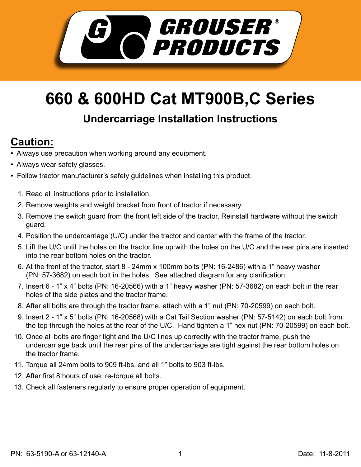

## **660 & 600HD Cat MT900B,C Series**

## **Undercarriage Installation Instructions**

## **Caution:**

- Always use precaution when working around any equipment.
- Always wear safety glasses.
- Follow tractor manufacturer's safety guidelines when installing this product.
	- 1. Read all instructions prior to installation.
	- 2. Remove weights and weight bracket from front of tractor if necessary.
	- 3. Remove the switch guard from the front left side of the tractor. Reinstall hardware without the switch guard.
	- 4. Position the undercarriage (U/C) under the tractor and center with the frame of the tractor.
	- 5. Lift the U/C until the holes on the tractor line up with the holes on the U/C and the rear pins are inserted into the rear bottom holes on the tractor.
	- 6. At the front of the tractor, start 8 24mm x 100mm bolts (PN: 16-2486) with a 1" heavy washer (PN: 57-3682) on each bolt in the holes. See attached diagram for any clarification.
	- 7. Insert 6 1" x 4" bolts (PN: 16-20566) with a 1" heavy washer (PN: 57-3682) on each bolt in the rear holes of the side plates and the tractor frame.
	- 8. After all bolts are through the tractor frame, attach with a 1" nut (PN: 70-20599) on each bolt.
	- 9. Insert 2 1" x 5" bolts (PN: 16-20568) with a Cat Tail Section washer (PN: 57-5142) on each bolt from the top through the holes at the rear of the U/C. Hand tighten a 1" hex nut (PN: 70-20599) on each bolt.
	- 10. Once all bolts are finger tight and the U/C lines up correctly with the tractor frame, push the undercarriage back until the rear pins of the undercarriage are tight against the rear bottom holes on the tractor frame.
	- 11. Torque all 24mm bolts to 909 ft-lbs. and all 1" bolts to 903 ft-lbs.
	- 12. After first 8 hours of use, re-torque all bolts.
	- 13. Check all fasteners regularly to ensure proper operation of equipment.